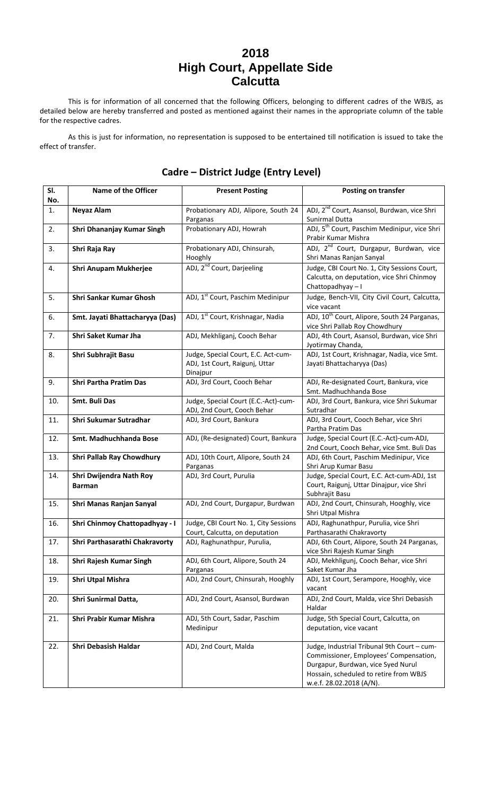## **2018 High Court, Appellate Side Calcutta**

This is for information of all concerned that the following Officers, belonging to different cadres of the WBJS, as detailed below are hereby transferred and posted as mentioned against their names in the appropriate column of the table for the respective cadres.

As this is just for information, no representation is supposed to be entertained till notification is issued to take the effect of transfer.

| SI.<br>No. | <b>Name of the Officer</b>      | <b>Present Posting</b>                                                | <b>Posting on transfer</b>                                                                 |
|------------|---------------------------------|-----------------------------------------------------------------------|--------------------------------------------------------------------------------------------|
| 1.         | <b>Neyaz Alam</b>               | Probationary ADJ, Alipore, South 24                                   | ADJ, 2 <sup>nd</sup> Court, Asansol, Burdwan, vice Shri                                    |
|            |                                 | Parganas                                                              | Sunirmal Dutta                                                                             |
| 2.         | Shri Dhananjay Kumar Singh      | Probationary ADJ, Howrah                                              | ADJ, 5 <sup>th</sup> Court, Paschim Medinipur, vice Shri                                   |
|            |                                 |                                                                       | Prabir Kumar Mishra                                                                        |
| 3.         | Shri Raja Ray                   | Probationary ADJ, Chinsurah,                                          | ADJ, 2 <sup>nd</sup> Court, Durgapur, Burdwan, vice                                        |
|            |                                 | Hooghly                                                               | Shri Manas Ranjan Sanyal                                                                   |
| 4.         | Shri Anupam Mukherjee           | ADJ, 2 <sup>nd</sup> Court, Darjeeling                                | Judge, CBI Court No. 1, City Sessions Court,<br>Calcutta, on deputation, vice Shri Chinmoy |
|            |                                 |                                                                       | Chattopadhyay-I                                                                            |
| 5.         | Shri Sankar Kumar Ghosh         | ADJ, 1 <sup>st</sup> Court, Paschim Medinipur                         | Judge, Bench-VII, City Civil Court, Calcutta,                                              |
|            |                                 |                                                                       | vice vacant                                                                                |
| 6.         | Smt. Jayati Bhattacharyya (Das) | ADJ, 1 <sup>st</sup> Court, Krishnagar, Nadia                         | ADJ, 10 <sup>th</sup> Court, Alipore, South 24 Parganas,                                   |
|            |                                 |                                                                       | vice Shri Pallab Roy Chowdhury                                                             |
| 7.         | Shri Saket Kumar Jha            | ADJ, Mekhliganj, Cooch Behar                                          | ADJ, 4th Court, Asansol, Burdwan, vice Shri                                                |
|            |                                 |                                                                       | Jyotirmay Chanda,                                                                          |
| 8.         | Shri Subhrajit Basu             | Judge, Special Court, E.C. Act-cum-<br>ADJ, 1st Court, Raigunj, Uttar | ADJ, 1st Court, Krishnagar, Nadia, vice Smt.<br>Jayati Bhattacharyya (Das)                 |
|            |                                 | Dinajpur                                                              |                                                                                            |
| 9.         | <b>Shri Partha Pratim Das</b>   | ADJ, 3rd Court, Cooch Behar                                           | ADJ, Re-designated Court, Bankura, vice                                                    |
|            |                                 |                                                                       | Smt. Madhuchhanda Bose                                                                     |
| 10.        | Smt. Buli Das                   | Judge, Special Court (E.C.-Act)-cum-                                  | ADJ, 3rd Court, Bankura, vice Shri Sukumar                                                 |
|            |                                 | ADJ, 2nd Court, Cooch Behar                                           | Sutradhar                                                                                  |
| 11.        | Shri Sukumar Sutradhar          | ADJ, 3rd Court, Bankura                                               | ADJ, 3rd Court, Cooch Behar, vice Shri<br>Partha Pratim Das                                |
| 12.        | Smt. Madhuchhanda Bose          | ADJ, (Re-designated) Court, Bankura                                   | Judge, Special Court (E.C.-Act)-cum-ADJ,                                                   |
|            |                                 |                                                                       | 2nd Court, Cooch Behar, vice Smt. Buli Das                                                 |
| 13.        | Shri Pallab Ray Chowdhury       | ADJ, 10th Court, Alipore, South 24                                    | ADJ, 6th Court, Paschim Medinipur, Vice                                                    |
| 14.        | Shri Dwijendra Nath Roy         | Parganas<br>ADJ, 3rd Court, Purulia                                   | Shri Arup Kumar Basu<br>Judge, Special Court, E.C. Act-cum-ADJ, 1st                        |
|            | <b>Barman</b>                   |                                                                       | Court, Raigunj, Uttar Dinajpur, vice Shri                                                  |
|            |                                 |                                                                       | Subhrajit Basu                                                                             |
| 15.        | Shri Manas Ranjan Sanyal        | ADJ, 2nd Court, Durgapur, Burdwan                                     | ADJ, 2nd Court, Chinsurah, Hooghly, vice                                                   |
|            |                                 |                                                                       | Shri Utpal Mishra                                                                          |
| 16.        | Shri Chinmoy Chattopadhyay - I  | Judge, CBI Court No. 1, City Sessions                                 | ADJ, Raghunathpur, Purulia, vice Shri                                                      |
|            |                                 | Court, Calcutta, on deputation                                        | Parthasarathi Chakravorty                                                                  |
| 17.        | Shri Parthasarathi Chakravorty  | ADJ, Raghunathpur, Purulia,                                           | ADJ, 6th Court, Alipore, South 24 Parganas,<br>vice Shri Rajesh Kumar Singh                |
| 18.        | Shri Rajesh Kumar Singh         | ADJ, 6th Court, Alipore, South 24                                     | ADJ, Mekhligunj, Cooch Behar, vice Shri                                                    |
|            |                                 | Parganas                                                              | Saket Kumar Jha                                                                            |
| 19.        | Shri Utpal Mishra               | ADJ, 2nd Court, Chinsurah, Hooghly                                    | ADJ, 1st Court, Serampore, Hooghly, vice                                                   |
|            |                                 |                                                                       | vacant                                                                                     |
| 20.        | Shri Sunirmal Datta,            | ADJ, 2nd Court, Asansol, Burdwan                                      | ADJ, 2nd Court, Malda, vice Shri Debasish                                                  |
|            |                                 |                                                                       | Haldar                                                                                     |
| 21.        | Shri Prabir Kumar Mishra        | ADJ, 5th Court, Sadar, Paschim<br>Medinipur                           | Judge, 5th Special Court, Calcutta, on<br>deputation, vice vacant                          |
|            |                                 |                                                                       |                                                                                            |
| 22.        | Shri Debasish Haldar            | ADJ, 2nd Court, Malda                                                 | Judge, Industrial Tribunal 9th Court - cum-                                                |
|            |                                 |                                                                       | Commissioner, Employees' Compensation,                                                     |
|            |                                 |                                                                       | Durgapur, Burdwan, vice Syed Nurul                                                         |
|            |                                 |                                                                       | Hossain, scheduled to retire from WBJS                                                     |
|            |                                 |                                                                       | w.e.f. 28.02.2018 (A/N).                                                                   |

## **Cadre – District Judge (Entry Level)**